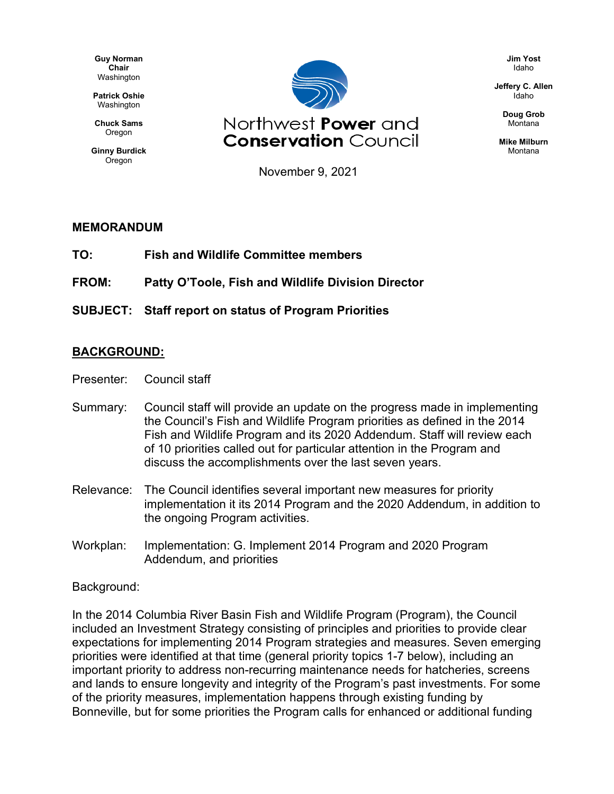**Guy Norman Chair** Washington

**Patrick Oshie** Washington

**Chuck Sams** Oregon

**Ginny Burdick** Oregon



November 9, 2021

## **MEMORANDUM**

**TO: Fish and Wildlife Committee members**

**FROM: Patty O'Toole, Fish and Wildlife Division Director**

**SUBJECT: Staff report on status of Program Priorities**

## **BACKGROUND:**

- Presenter: Council staff
- Summary: Council staff will provide an update on the progress made in implementing the Council's Fish and Wildlife Program priorities as defined in the 2014 Fish and Wildlife Program and its 2020 Addendum. Staff will review each of 10 priorities called out for particular attention in the Program and discuss the accomplishments over the last seven years.
- Relevance: The Council identifies several important new measures for priority implementation it its 2014 Program and the 2020 Addendum, in addition to the ongoing Program activities.
- Workplan: Implementation: G. Implement 2014 Program and 2020 Program Addendum, and priorities

## Background:

In the 2014 Columbia River Basin Fish and Wildlife Program (Program), the Council included an Investment Strategy consisting of principles and priorities to provide clear expectations for implementing 2014 Program strategies and measures. Seven emerging priorities were identified at that time (general priority topics 1-7 below), including an important priority to address non-recurring maintenance needs for hatcheries, screens and lands to ensure longevity and integrity of the Program's past investments. For some of the priority measures, implementation happens through existing funding by Bonneville, but for some priorities the Program calls for enhanced or additional funding

**Jim Yost** Idaho

**Jeffery C. Allen** Idaho

> **Doug Grob** Montana

**Mike Milburn** Montana